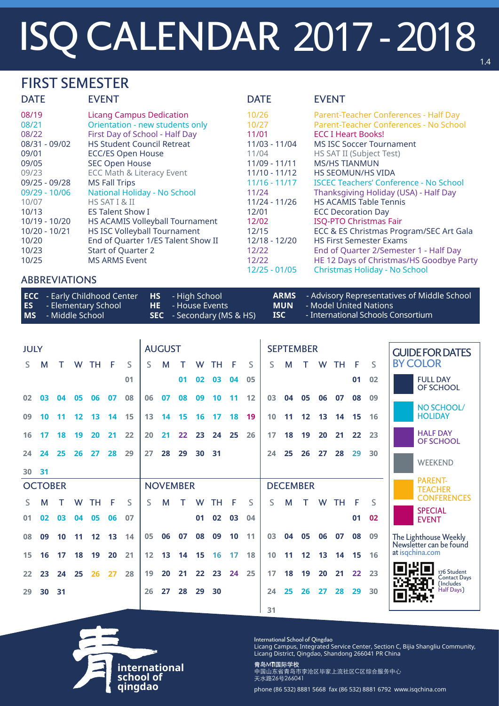# ISQ CALENDAR 2017 - 2018

### FIRST SEMESTER

| <b>DATE</b>   | <b>EVENT</b>                           | <b>DATE</b>     | <b>EVENT</b>                                  |
|---------------|----------------------------------------|-----------------|-----------------------------------------------|
| 08/19         | <b>Licang Campus Dedication</b>        | 10/26           | Parent-Teacher Conferences - Half Day         |
| 08/21         | Orientation - new students only        | 10/27           | Parent-Teacher Conferences - No School        |
| 08/22         | First Day of School - Half Day         | 11/01           | <b>ECC I Heart Books!</b>                     |
| 08/31 - 09/02 | <b>HS Student Council Retreat</b>      | 11/03 - 11/04   | <b>MS ISC Soccer Tournament</b>               |
| 09/01         | <b>ECC/ES Open House</b>               | 11/04           | <b>HS SAT II (Subject Test)</b>               |
| 09/05         | <b>SEC Open House</b>                  | 11/09 - 11/11   | <b>MS/HS TIANMUN</b>                          |
| 09/23         | <b>ECC Math &amp; Literacy Event</b>   | $11/10 - 11/12$ | <b>HS SEOMUN/HS VIDA</b>                      |
| 09/25 - 09/28 | <b>MS Fall Trips</b>                   | $11/16 - 11/17$ | <b>ISCEC Teachers' Conference - No School</b> |
| 09/29 - 10/06 | <b>National Holiday - No School</b>    | 11/24           | Thanksgiving Holiday (USA) - Half Day         |
| 10/07         | HS SAT I & II                          | 11/24 - 11/26   | <b>HS ACAMIS Table Tennis</b>                 |
| 10/13         | <b>ES Talent Show I</b>                | 12/01           | <b>ECC Decoration Day</b>                     |
| 10/19 - 10/20 | <b>HS ACAMIS Volleyball Tournament</b> | 12/02           | <b>ISQ-PTO Christmas Fair</b>                 |
| 10/20 - 10/21 | <b>HS ISC Volleyball Tournament</b>    | 12/15           | ECC & ES Christmas Program/SEC Art Gala       |
| 10/20         | End of Quarter 1/ES Talent Show II     | 12/18 - 12/20   | <b>HS First Semester Exams</b>                |
| 10/23         | <b>Start of Quarter 2</b>              | 12/22           | End of Quarter 2/Semester 1 - Half Day        |
| 10/25         | <b>MS ARMS Event</b>                   | 12/22           | HE 12 Days of Christmas/HS Goodbye Party      |
|               |                                        | 12/25 - 01/05   | Christmas Holiday - No School                 |

| <b>ECC</b> - Early Childhood Center<br><b>ES</b> - Elementary School<br><b>MS</b> - Middle School | <b>HS</b> - High School<br><b>HE</b> - House Events<br><b>SEC</b> - Secondary (MS & HS) | <b>MUN</b><br><b>ISC</b> | <b>ARMS</b> - Advisory Representatives of Middle School<br>- Model United Nations<br>- International Schools Consortium |
|---------------------------------------------------------------------------------------------------|-----------------------------------------------------------------------------------------|--------------------------|-------------------------------------------------------------------------------------------------------------------------|
|                                                                                                   |                                                                                         |                          |                                                                                                                         |

**international**

**school of qingdao**

International School of Qingdao

Licang Campus, Integrated Service Center, Section C, Bijia Shangliu Community, Licang District, Qingdao, Shandong 266041 PR China

#### 青岛MTI国际学校

中国山东省青岛市李沧区毕家上流社区C区综合服务中心 天水路26号266041

phone (86 532) 8881 5668 fax (86 532) 8881 6792 www.isqchina.com

### ABBREVIATIONS

| <b>JULY</b> |                |    |                 |                 |    |    | <b>AUGUST</b><br><b>SEPTEMBER</b> |                 |                   |                 |           |       |    |    |                 | <b>GUIDE FOR DATES</b> |           |    |     |              |                                     |
|-------------|----------------|----|-----------------|-----------------|----|----|-----------------------------------|-----------------|-------------------|-----------------|-----------|-------|----|----|-----------------|------------------------|-----------|----|-----|--------------|-------------------------------------|
| S.          | M              |    | W               | TH -            | F  | S  | S.                                | M               |                   | W               | TН        | - F   | S  | S. | M               | T.                     | W         | TH | - F | $\mathsf{S}$ | <b>BY COLOR</b>                     |
|             |                |    |                 |                 |    | 01 |                                   |                 | 01                | 02 <sub>2</sub> | 03        | 04    | 05 |    |                 |                        |           |    | 01  | 02           | <b>FULL DAY</b><br>OF SCHOOL        |
| 02          | 03             | 04 | 05              | 06              | 07 | 08 | 06                                | 07              | 08                | 09              | <b>10</b> | $-11$ | 12 | 03 | 04              | 05                     | 06        | 07 | 08  | 09           |                                     |
| 09          | 10             | 11 | 12 <sub>2</sub> | 13              | 14 | 15 | 13                                | 14              | 15                | 16              | 17        | 18    | 19 | 10 | 11              | 12                     | 13        | 14 | 15  | 16           | NO SCHOOL/<br><b>HOLIDAY</b>        |
| 16          | 17             | 18 | 19 <sup>°</sup> | 20 <sub>2</sub> | 21 | 22 | 20                                | 21              | $22 \overline{)}$ | 23              | 24 25     |       | 26 | 17 | 18              | 19                     | <b>20</b> | 21 | 22  | 23           | <b>HALF DAY</b><br><b>OF SCHOOL</b> |
| 24          | 24             | 25 | 26              | <b>27</b>       | 28 | 29 | 27                                | 28              | 29                | 30              | 31        |       |    | 24 | 25              | 26                     | 27        | 28 | 29  | 30           | <b>WEEKEND</b>                      |
| 30 31       |                |    |                 |                 |    |    |                                   |                 |                   |                 |           |       |    |    |                 |                        |           |    |     |              |                                     |
|             | <b>OCTOBER</b> |    |                 |                 |    |    |                                   | <b>NOVEMBER</b> |                   |                 |           |       |    |    | <b>DECEMBER</b> |                        |           |    |     |              | <b>PARENT-</b><br><b>TEACHER</b>    |
| S.          | M              | т  | W               | TН              | F  | S. | S                                 | M               |                   | W               | TН        | F     | S  | S. | M               | т                      | W         | TH | -F  | S            | <b>CONFERENCES</b>                  |
| 01          | 02             | 03 | 04              | 05              | 06 | 07 |                                   |                 |                   | 01              | 02        | 03    | 04 |    |                 |                        |           |    | 01  | 02           | <b>SPECIAL</b><br><b>EVENT</b>      |

| 08 | 09                   |  |  |                                  |                |  |  | 10 11 12 13 14 05 06 07 08 09 10 11 03 04 05 06 07 08 09 |                |  |    | The Lighthouse Weekly<br>Newsletter can be found |
|----|----------------------|--|--|----------------------------------|----------------|--|--|----------------------------------------------------------|----------------|--|----|--------------------------------------------------|
|    | 15 16 17             |  |  | 18 19 20 21 12 13 14 15 16 17 18 |                |  |  | 10 11 12 13 14 15 16                                     |                |  |    | at isgchina.com                                  |
|    | 22 23 24 25 26 27 28 |  |  |                                  |                |  |  | 19 20 21 22 23 24 25   17 18 19 20 21 22 23              |                |  |    | 176 Student<br>Contact Da                        |
|    | 29 30 31             |  |  |                                  | 26 27 28 29 30 |  |  | 24                                                       | 25 26 27 28 29 |  | 30 | Half Days)                                       |
|    |                      |  |  |                                  |                |  |  | 31                                                       |                |  |    |                                                  |

1.4